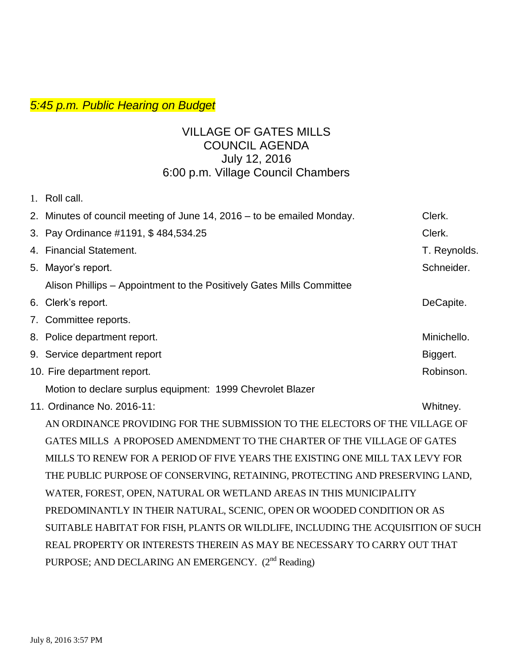## *5:45 p.m. Public Hearing on Budget*

## VILLAGE OF GATES MILLS COUNCIL AGENDA July 12, 2016 6:00 p.m. Village Council Chambers

| 1. Roll call.                                                          |              |
|------------------------------------------------------------------------|--------------|
| 2. Minutes of council meeting of June 14, 2016 – to be emailed Monday. | Clerk.       |
| 3. Pay Ordinance #1191, \$484,534.25                                   | Clerk.       |
| 4. Financial Statement.                                                | T. Reynolds. |
| 5. Mayor's report.                                                     | Schneider.   |
| Alison Phillips – Appointment to the Positively Gates Mills Committee  |              |
| 6. Clerk's report.                                                     | DeCapite.    |
| 7. Committee reports.                                                  |              |
| 8. Police department report.                                           | Minichello.  |
| 9. Service department report                                           | Biggert.     |
| 10. Fire department report.                                            | Robinson.    |
| Motion to declare surplus equipment: 1999 Chevrolet Blazer             |              |

11. Ordinance No. 2016-11: Whitney.

AN ORDINANCE PROVIDING FOR THE SUBMISSION TO THE ELECTORS OF THE VILLAGE OF GATES MILLS A PROPOSED AMENDMENT TO THE CHARTER OF THE VILLAGE OF GATES MILLS TO RENEW FOR A PERIOD OF FIVE YEARS THE EXISTING ONE MILL TAX LEVY FOR THE PUBLIC PURPOSE OF CONSERVING, RETAINING, PROTECTING AND PRESERVING LAND, WATER, FOREST, OPEN, NATURAL OR WETLAND AREAS IN THIS MUNICIPALITY PREDOMINANTLY IN THEIR NATURAL, SCENIC, OPEN OR WOODED CONDITION OR AS SUITABLE HABITAT FOR FISH, PLANTS OR WILDLIFE, INCLUDING THE ACQUISITION OF SUCH REAL PROPERTY OR INTERESTS THEREIN AS MAY BE NECESSARY TO CARRY OUT THAT PURPOSE; AND DECLARING AN EMERGENCY. (2<sup>nd</sup> Reading)